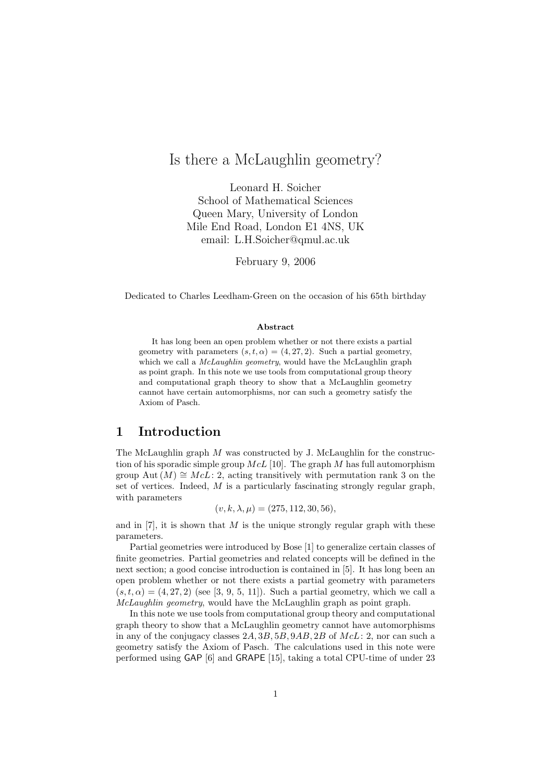# Is there a McLaughlin geometry?

Leonard H. Soicher School of Mathematical Sciences Queen Mary, University of London Mile End Road, London E1 4NS, UK email: L.H.Soicher@qmul.ac.uk

February 9, 2006

Dedicated to Charles Leedham-Green on the occasion of his 65th birthday

#### Abstract

It has long been an open problem whether or not there exists a partial geometry with parameters  $(s, t, \alpha) = (4, 27, 2)$ . Such a partial geometry, which we call a *McLaughlin geometry*, would have the McLaughlin graph as point graph. In this note we use tools from computational group theory and computational graph theory to show that a McLaughlin geometry cannot have certain automorphisms, nor can such a geometry satisfy the Axiom of Pasch.

## 1 Introduction

The McLaughlin graph  $M$  was constructed by J. McLaughlin for the construction of his sporadic simple group  $McL$  [10]. The graph M has full automorphism group Aut  $(M) \cong M cL$ : 2, acting transitively with permutation rank 3 on the set of vertices. Indeed,  $M$  is a particularly fascinating strongly regular graph, with parameters

$$
(v, k, \lambda, \mu) = (275, 112, 30, 56),
$$

and in  $[7]$ , it is shown that M is the unique strongly regular graph with these parameters.

Partial geometries were introduced by Bose [1] to generalize certain classes of finite geometries. Partial geometries and related concepts will be defined in the next section; a good concise introduction is contained in [5]. It has long been an open problem whether or not there exists a partial geometry with parameters  $(s, t, \alpha) = (4, 27, 2)$  (see [3, 9, 5, 11]). Such a partial geometry, which we call a McLaughlin geometry, would have the McLaughlin graph as point graph.

In this note we use tools from computational group theory and computational graph theory to show that a McLaughlin geometry cannot have automorphisms in any of the conjugacy classes  $2A, 3B, 5B, 9AB, 2B$  of  $McL: 2$ , nor can such a geometry satisfy the Axiom of Pasch. The calculations used in this note were performed using GAP [6] and GRAPE [15], taking a total CPU-time of under 23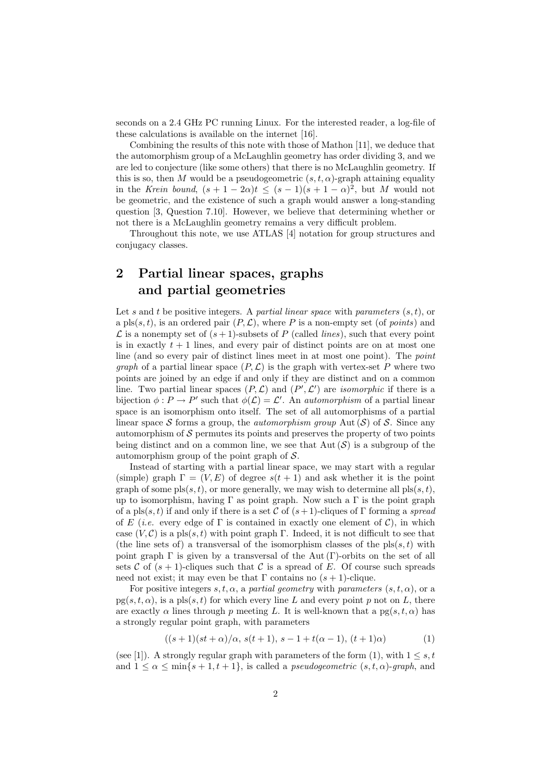seconds on a 2.4 GHz PC running Linux. For the interested reader, a log-file of these calculations is available on the internet [16].

Combining the results of this note with those of Mathon [11], we deduce that the automorphism group of a McLaughlin geometry has order dividing 3, and we are led to conjecture (like some others) that there is no McLaughlin geometry. If this is so, then M would be a pseudogeometric  $(s, t, \alpha)$ -graph attaining equality in the Krein bound,  $(s+1-2\alpha)t \leq (s-1)(s+1-\alpha)^2$ , but M would not be geometric, and the existence of such a graph would answer a long-standing question [3, Question 7.10]. However, we believe that determining whether or not there is a McLaughlin geometry remains a very difficult problem.

Throughout this note, we use ATLAS [4] notation for group structures and conjugacy classes.

## 2 Partial linear spaces, graphs and partial geometries

Let s and t be positive integers. A partial linear space with parameters  $(s, t)$ , or a pls $(s, t)$ , is an ordered pair  $(P, \mathcal{L})$ , where P is a non-empty set (of *points*) and  $\mathcal L$  is a nonempty set of  $(s + 1)$ -subsets of P (called *lines*), such that every point is in exactly  $t + 1$  lines, and every pair of distinct points are on at most one line (and so every pair of distinct lines meet in at most one point). The point *graph* of a partial linear space  $(P, \mathcal{L})$  is the graph with vertex-set P where two points are joined by an edge if and only if they are distinct and on a common line. Two partial linear spaces  $(P, \mathcal{L})$  and  $(P', \mathcal{L}')$  are *isomorphic* if there is a bijection  $\phi: P \to P'$  such that  $\phi(\mathcal{L}) = \mathcal{L}'$ . An *automorphism* of a partial linear space is an isomorphism onto itself. The set of all automorphisms of a partial linear space S forms a group, the *automorphism group* Aut  $(S)$  of S. Since any automorphism of  $\mathcal S$  permutes its points and preserves the property of two points being distinct and on a common line, we see that  $Aut(S)$  is a subgroup of the automorphism group of the point graph of  $\mathcal{S}$ .

Instead of starting with a partial linear space, we may start with a regular (simple) graph  $\Gamma = (V, E)$  of degree  $s(t + 1)$  and ask whether it is the point graph of some  $pls(s, t)$ , or more generally, we may wish to determine all  $pls(s, t)$ , up to isomorphism, having  $\Gamma$  as point graph. Now such a  $\Gamma$  is the point graph of a pls $(s, t)$  if and only if there is a set C of  $(s + 1)$ -cliques of Γ forming a spread of E (*i.e.* every edge of  $\Gamma$  is contained in exactly one element of C), in which case  $(V, \mathcal{C})$  is a pls $(s, t)$  with point graph Γ. Indeed, it is not difficult to see that (the line sets of) a transversal of the isomorphism classes of the  $pls(s, t)$  with point graph  $\Gamma$  is given by a transversal of the Aut  $(\Gamma)$ -orbits on the set of all sets C of  $(s + 1)$ -cliques such that C is a spread of E. Of course such spreads need not exist; it may even be that  $\Gamma$  contains no  $(s + 1)$ -clique.

For positive integers s, t,  $\alpha$ , a partial geometry with parameters  $(s, t, \alpha)$ , or a  $pg(s, t, \alpha)$ , is a pls $(s, t)$  for which every line L and every point p not on L, there are exactly  $\alpha$  lines through p meeting L. It is well-known that a pg $(s, t, \alpha)$  has a strongly regular point graph, with parameters

$$
((s+1)(st+\alpha)/\alpha, s(t+1), s-1+t(\alpha-1), (t+1)\alpha)
$$
 (1)

(see [1]). A strongly regular graph with parameters of the form (1), with  $1 \leq s, t$ and  $1 \leq \alpha \leq \min\{s+1,t+1\}$ , is called a *pseudogeometric*  $(s,t,\alpha)$ -graph, and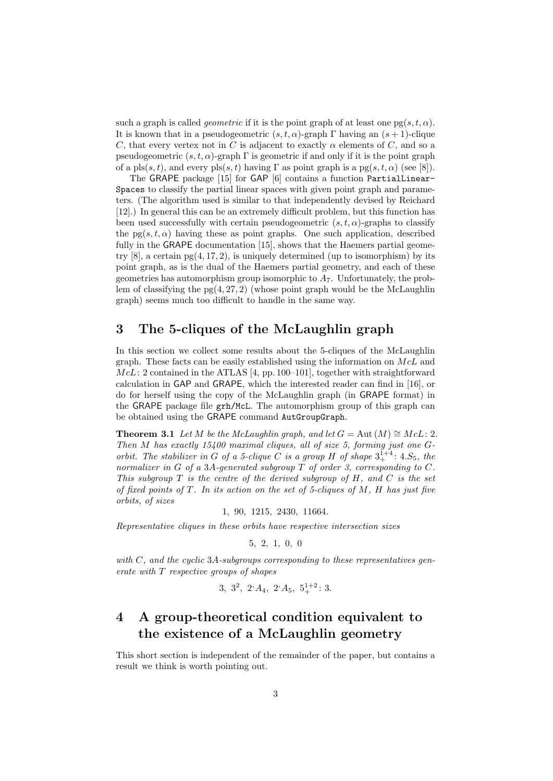such a graph is called *geometric* if it is the point graph of at least one  $pg(s, t, \alpha)$ . It is known that in a pseudogeometric  $(s, t, \alpha)$ -graph Γ having an  $(s + 1)$ -clique C, that every vertex not in C is adjacent to exactly  $\alpha$  elements of C, and so a pseudogeometric  $(s, t, \alpha)$ -graph  $\Gamma$  is geometric if and only if it is the point graph of a pls $(s, t)$ , and every pls $(s, t)$  having  $\Gamma$  as point graph is a pg $(s, t, \alpha)$  (see [8]).

The GRAPE package [15] for GAP [6] contains a function PartialLinear-Spaces to classify the partial linear spaces with given point graph and parameters. (The algorithm used is similar to that independently devised by Reichard [12].) In general this can be an extremely difficult problem, but this function has been used successfully with certain pseudogeometric  $(s, t, \alpha)$ -graphs to classify the  $pg(s, t, \alpha)$  having these as point graphs. One such application, described fully in the GRAPE documentation [15], shows that the Haemers partial geometry  $[8]$ , a certain  $pg(4, 17, 2)$ , is uniquely determined (up to isomorphism) by its point graph, as is the dual of the Haemers partial geometry, and each of these geometries has automorphism group isomorphic to  $A_7$ . Unfortunately, the problem of classifying the  $pg(4, 27, 2)$  (whose point graph would be the McLaughlin graph) seems much too difficult to handle in the same way.

## 3 The 5-cliques of the McLaughlin graph

In this section we collect some results about the 5-cliques of the McLaughlin graph. These facts can be easily established using the information on  $McL$  and  $McL: 2$  contained in the ATLAS [4, pp. 100–101], together with straightforward calculation in GAP and GRAPE, which the interested reader can find in [16], or do for herself using the copy of the McLaughlin graph (in GRAPE format) in the GRAPE package file grh/McL. The automorphism group of this graph can be obtained using the GRAPE command AutGroupGraph.

**Theorem 3.1** Let M be the McLaughlin graph, and let  $G = \text{Aut}(M) \cong M cL: 2$ . Then M has exactly 15400 maximal cliques, all of size 5, forming just one Gorbit. The stabilizer in G of a 5-clique C is a group H of shape  $3^{1+4}_+$ : 4.S<sub>5</sub>, the normalizer in G of a 3A-generated subgroup  $T$  of order 3, corresponding to  $C$ . This subgroup  $T$  is the centre of the derived subgroup of  $H$ , and  $C$  is the set of fixed points of T. In its action on the set of 5-cliques of  $M$ ,  $H$  has just five orbits, of sizes

### 1, 90, 1215, 2430, 11664.

Representative cliques in these orbits have respective intersection sizes

$$
5,\ 2,\ 1,\ 0,\ 0
$$

with  $C$ , and the cyclic 3A-subgroups corresponding to these representatives generate with T respective groups of shapes

$$
3, 3^2, 2 \cdot A_4, 2 \cdot A_5, 5_+^{1+2} : 3.
$$

## 4 A group-theoretical condition equivalent to the existence of a McLaughlin geometry

This short section is independent of the remainder of the paper, but contains a result we think is worth pointing out.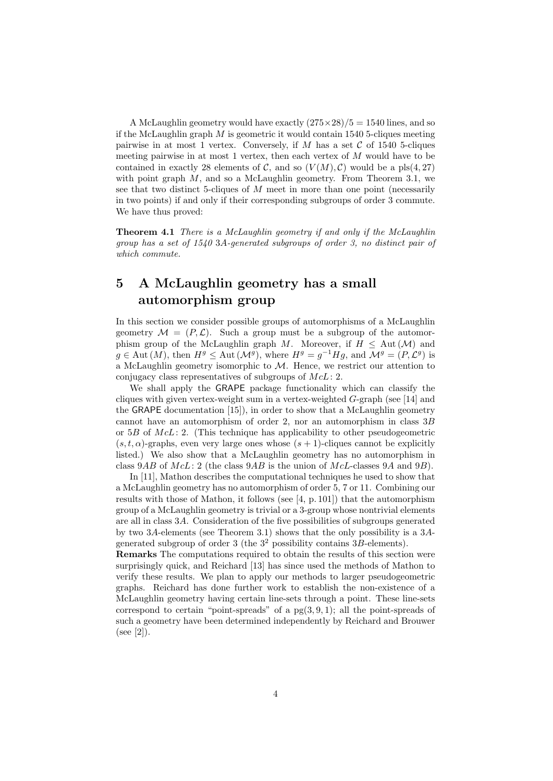A McLaughlin geometry would have exactly  $(275 \times 28)/5 = 1540$  lines, and so if the McLaughlin graph  $M$  is geometric it would contain 1540 5-cliques meeting pairwise in at most 1 vertex. Conversely, if M has a set C of 1540 5-cliques meeting pairwise in at most 1 vertex, then each vertex of  $M$  would have to be contained in exactly 28 elements of C, and so  $(V(M), \mathcal{C})$  would be a pls(4,27) with point graph  $M$ , and so a McLaughlin geometry. From Theorem 3.1, we see that two distinct 5-cliques of M meet in more than one point (necessarily in two points) if and only if their corresponding subgroups of order 3 commute. We have thus proved:

Theorem 4.1 There is a McLaughlin geometry if and only if the McLaughlin group has a set of 1540 3A-generated subgroups of order 3, no distinct pair of which commute.

# 5 A McLaughlin geometry has a small automorphism group

In this section we consider possible groups of automorphisms of a McLaughlin geometry  $\mathcal{M} = (P, \mathcal{L})$ . Such a group must be a subgroup of the automorphism group of the McLaughlin graph M. Moreover, if  $H \n\t\leq$  Aut  $(\mathcal{M})$  and  $g \in \text{Aut}(M)$ , then  $H^g \leq \text{Aut}(\mathcal{M}^g)$ , where  $H^g = g^{-1}Hg$ , and  $\mathcal{M}^g = (P, \mathcal{L}^g)$  is a McLaughlin geometry isomorphic to  $M$ . Hence, we restrict our attention to conjugacy class representatives of subgroups of  $McL: 2$ .

We shall apply the GRAPE package functionality which can classify the cliques with given vertex-weight sum in a vertex-weighted G-graph (see [14] and the GRAPE documentation [15]), in order to show that a McLaughlin geometry cannot have an automorphism of order 2, nor an automorphism in class 3B or  $5B$  of  $McL: 2$ . (This technique has applicability to other pseudogeometric  $(s, t, \alpha)$ -graphs, even very large ones whose  $(s + 1)$ -cliques cannot be explicitly listed.) We also show that a McLaughlin geometry has no automorphism in class  $9AB$  of  $McL: 2$  (the class  $9AB$  is the union of  $McL$ -classes  $9A$  and  $9B$ ).

In [11], Mathon describes the computational techniques he used to show that a McLaughlin geometry has no automorphism of order 5, 7 or 11. Combining our results with those of Mathon, it follows (see  $[4, p. 101]$ ) that the automorphism group of a McLaughlin geometry is trivial or a 3-group whose nontrivial elements are all in class 3A. Consideration of the five possibilities of subgroups generated by two 3A-elements (see Theorem 3.1) shows that the only possibility is a 3Agenerated subgroup of order 3 (the  $3^2$  possibility contains  $3B$ -elements).

Remarks The computations required to obtain the results of this section were surprisingly quick, and Reichard [13] has since used the methods of Mathon to verify these results. We plan to apply our methods to larger pseudogeometric graphs. Reichard has done further work to establish the non-existence of a McLaughlin geometry having certain line-sets through a point. These line-sets correspond to certain "point-spreads" of a  $pg(3, 9, 1)$ ; all the point-spreads of such a geometry have been determined independently by Reichard and Brouwer (see [2]).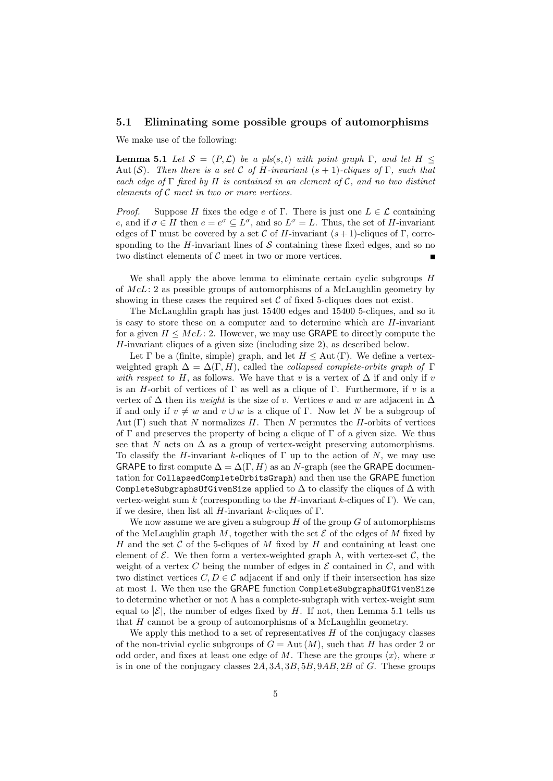### 5.1 Eliminating some possible groups of automorphisms

We make use of the following:

**Lemma 5.1** Let  $S = (P, \mathcal{L})$  be a pls(s, t) with point graph  $\Gamma$ , and let  $H \leq$ Aut (S). Then there is a set C of H-invariant  $(s + 1)$ -cliques of  $\Gamma$ , such that each edge of  $\Gamma$  fixed by H is contained in an element of C, and no two distinct elements of C meet in two or more vertices.

*Proof.* Suppose H fixes the edge e of Γ. There is just one  $L \in \mathcal{L}$  containing e, and if  $\sigma \in H$  then  $e = e^{\sigma} \subseteq L^{\sigma}$ , and so  $L^{\sigma} = L$ . Thus, the set of H-invariant edges of Γ must be covered by a set C of H-invariant  $(s + 1)$ -cliques of Γ, corresponding to the H-invariant lines of  $\mathcal S$  containing these fixed edges, and so no two distinct elements of  $C$  meet in two or more vertices.

We shall apply the above lemma to eliminate certain cyclic subgroups  $H$ of  $McL: 2$  as possible groups of automorphisms of a McLaughlin geometry by showing in these cases the required set  $C$  of fixed 5-cliques does not exist.

The McLaughlin graph has just 15400 edges and 15400 5-cliques, and so it is easy to store these on a computer and to determine which are H-invariant for a given  $H \leq M c L$ : 2. However, we may use GRAPE to directly compute the H-invariant cliques of a given size (including size 2), as described below.

Let  $\Gamma$  be a (finite, simple) graph, and let  $H \leq$  Aut (Γ). We define a vertexweighted graph  $\Delta = \Delta(\Gamma, H)$ , called the *collapsed complete-orbits graph of*  $\Gamma$ with respect to H, as follows. We have that v is a vertex of  $\Delta$  if and only if v is an H-orbit of vertices of  $\Gamma$  as well as a clique of  $\Gamma$ . Furthermore, if v is a vertex of  $\Delta$  then its *weight* is the size of v. Vertices v and w are adjacent in  $\Delta$ if and only if  $v \neq w$  and  $v \cup w$  is a clique of Γ. Now let N be a subgroup of Aut  $(\Gamma)$  such that N normalizes H. Then N permutes the H-orbits of vertices of  $\Gamma$  and preserves the property of being a clique of  $\Gamma$  of a given size. We thus see that N acts on  $\Delta$  as a group of vertex-weight preserving automorphisms. To classify the H-invariant k-cliques of  $\Gamma$  up to the action of N, we may use GRAPE to first compute  $\Delta = \Delta(\Gamma, H)$  as an N-graph (see the GRAPE documentation for CollapsedCompleteOrbitsGraph) and then use the GRAPE function CompleteSubgraphsOfGivenSize applied to  $\Delta$  to classify the cliques of  $\Delta$  with vertex-weight sum k (corresponding to the H-invariant k-cliques of Γ). We can, if we desire, then list all  $H$ -invariant k-cliques of  $\Gamma$ .

We now assume we are given a subgroup  $H$  of the group  $G$  of automorphisms of the McLaughlin graph M, together with the set  $\mathcal E$  of the edges of M fixed by H and the set C of the 5-cliques of M fixed by H and containing at least one element of  $\mathcal{E}$ . We then form a vertex-weighted graph  $\Lambda$ , with vertex-set  $\mathcal{C}$ , the weight of a vertex  $C$  being the number of edges in  $\mathcal E$  contained in  $C$ , and with two distinct vertices  $C, D \in \mathcal{C}$  adjacent if and only if their intersection has size at most 1. We then use the GRAPE function CompleteSubgraphsOfGivenSize to determine whether or not  $\Lambda$  has a complete-subgraph with vertex-weight sum equal to  $|\mathcal{E}|$ , the number of edges fixed by H. If not, then Lemma 5.1 tells us that H cannot be a group of automorphisms of a McLaughlin geometry.

We apply this method to a set of representatives  $H$  of the conjugacy classes of the non-trivial cyclic subgroups of  $G = Aut(M)$ , such that H has order 2 or odd order, and fixes at least one edge of M. These are the groups  $\langle x \rangle$ , where x is in one of the conjugacy classes  $2A$ ,  $3A$ ,  $3B$ ,  $5B$ ,  $9AB$ ,  $2B$  of G. These groups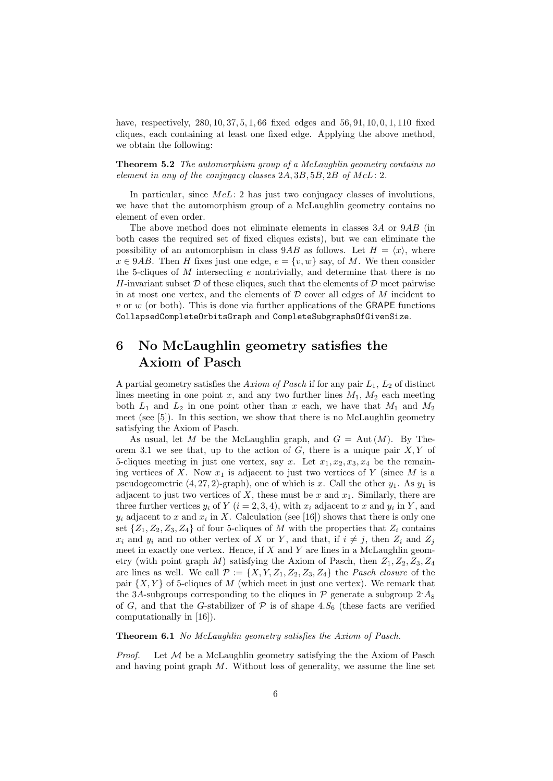have, respectively, 280, 10, 37, 5, 1, 66 fixed edges and 56, 91, 10, 0, 1, 110 fixed cliques, each containing at least one fixed edge. Applying the above method, we obtain the following:

Theorem 5.2 The automorphism group of a McLaughlin geometry contains no element in any of the conjugacy classes  $2A, 3B, 5B, 2B$  of  $McL: 2$ .

In particular, since  $McL: 2$  has just two conjugacy classes of involutions, we have that the automorphism group of a McLaughlin geometry contains no element of even order.

The above method does not eliminate elements in classes 3A or 9AB (in both cases the required set of fixed cliques exists), but we can eliminate the possibility of an automorphism in class  $9AB$  as follows. Let  $H = \langle x \rangle$ , where  $x \in 9AB$ . Then H fixes just one edge,  $e = \{v, w\}$  say, of M. We then consider the 5-cliques of M intersecting e nontrivially, and determine that there is no H-invariant subset  $\mathcal D$  of these cliques, such that the elements of  $\mathcal D$  meet pairwise in at most one vertex, and the elements of  $D$  cover all edges of  $M$  incident to v or w (or both). This is done via further applications of the GRAPE functions CollapsedCompleteOrbitsGraph and CompleteSubgraphsOfGivenSize.

# 6 No McLaughlin geometry satisfies the Axiom of Pasch

A partial geometry satisfies the Axiom of Pasch if for any pair  $L_1$ ,  $L_2$  of distinct lines meeting in one point x, and any two further lines  $M_1, M_2$  each meeting both  $L_1$  and  $L_2$  in one point other than x each, we have that  $M_1$  and  $M_2$ meet (see [5]). In this section, we show that there is no McLaughlin geometry satisfying the Axiom of Pasch.

As usual, let M be the McLaughlin graph, and  $G = Aut(M)$ . By Theorem 3.1 we see that, up to the action of  $G$ , there is a unique pair  $X, Y$  of 5-cliques meeting in just one vertex, say x. Let  $x_1, x_2, x_3, x_4$  be the remaining vertices of X. Now  $x_1$  is adjacent to just two vertices of Y (since M is a pseudogeometric  $(4, 27, 2)$ -graph), one of which is x. Call the other  $y_1$ . As  $y_1$  is adjacent to just two vertices of  $X$ , these must be  $x$  and  $x_1$ . Similarly, there are three further vertices  $y_i$  of  $Y$   $(i = 2, 3, 4)$ , with  $x_i$  adjacent to  $x$  and  $y_i$  in  $Y$ , and  $y_i$  adjacent to x and  $x_i$  in X. Calculation (see [16]) shows that there is only one set  $\{Z_1, Z_2, Z_3, Z_4\}$  of four 5-cliques of M with the properties that  $Z_i$  contains  $x_i$  and  $y_i$  and no other vertex of X or Y, and that, if  $i \neq j$ , then  $Z_i$  and  $Z_j$ meet in exactly one vertex. Hence, if  $X$  and  $Y$  are lines in a McLaughlin geometry (with point graph M) satisfying the Axiom of Pasch, then  $Z_1, Z_2, Z_3, Z_4$ are lines as well. We call  $\mathcal{P} := \{X, Y, Z_1, Z_2, Z_3, Z_4\}$  the *Pasch closure* of the pair  $\{X, Y\}$  of 5-cliques of M (which meet in just one vertex). We remark that the 3A-subgroups corresponding to the cliques in  $\mathcal P$  generate a subgroup  $2 \Delta_8$ of G, and that the G-stabilizer of  $P$  is of shape 4. $S_6$  (these facts are verified computationally in [16]).

Theorem 6.1 No McLaughlin geometry satisfies the Axiom of Pasch.

*Proof.* Let  $M$  be a McLaughlin geometry satisfying the the Axiom of Pasch and having point graph  $M$ . Without loss of generality, we assume the line set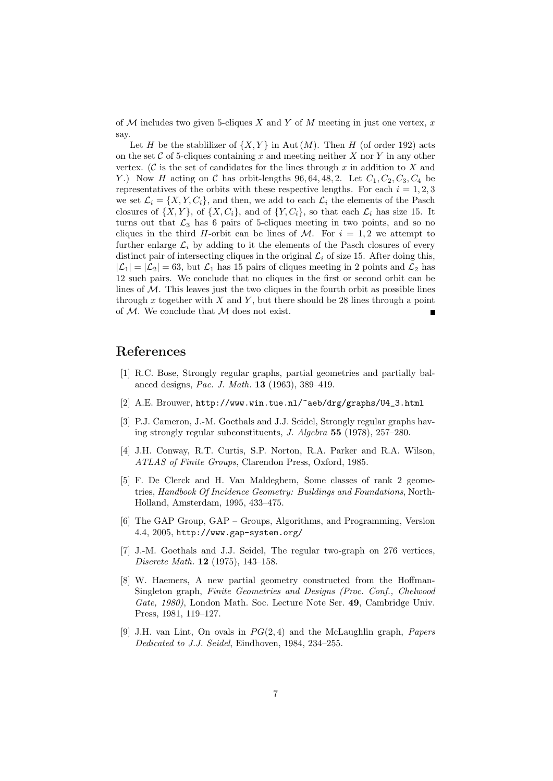of  $M$  includes two given 5-cliques X and Y of M meeting in just one vertex, x say.

Let H be the stablilizer of  $\{X, Y\}$  in Aut  $(M)$ . Then H (of order 192) acts on the set  $\mathcal C$  of 5-cliques containing x and meeting neither X nor Y in any other vertex. (C is the set of candidates for the lines through  $x$  in addition to  $X$  and Y.) Now H acting on C has orbit-lengths 96, 64, 48, 2. Let  $C_1$ ,  $C_2$ ,  $C_3$ ,  $C_4$  be representatives of the orbits with these respective lengths. For each  $i = 1, 2, 3$ we set  $\mathcal{L}_i = \{X, Y, C_i\}$ , and then, we add to each  $\mathcal{L}_i$  the elements of the Pasch closures of  $\{X, Y\}$ , of  $\{X, C_i\}$ , and of  $\{Y, C_i\}$ , so that each  $\mathcal{L}_i$  has size 15. It turns out that  $\mathcal{L}_3$  has 6 pairs of 5-cliques meeting in two points, and so no cliques in the third H-orbit can be lines of M. For  $i = 1, 2$  we attempt to further enlarge  $\mathcal{L}_i$  by adding to it the elements of the Pasch closures of every distinct pair of intersecting cliques in the original  $\mathcal{L}_i$  of size 15. After doing this,  $|\mathcal{L}_1| = |\mathcal{L}_2| = 63$ , but  $\mathcal{L}_1$  has 15 pairs of cliques meeting in 2 points and  $\mathcal{L}_2$  has 12 such pairs. We conclude that no cliques in the first or second orbit can be lines of  $M$ . This leaves just the two cliques in the fourth orbit as possible lines through  $x$  together with  $X$  and  $Y$ , but there should be 28 lines through a point of  $M$ . We conclude that  $M$  does not exist.

## References

- [1] R.C. Bose, Strongly regular graphs, partial geometries and partially balanced designs, Pac. J. Math. 13 (1963), 389–419.
- [2] A.E. Brouwer, http://www.win.tue.nl/~aeb/drg/graphs/U4\_3.html
- [3] P.J. Cameron, J.-M. Goethals and J.J. Seidel, Strongly regular graphs having strongly regular subconstituents, J. Algebra 55 (1978), 257–280.
- [4] J.H. Conway, R.T. Curtis, S.P. Norton, R.A. Parker and R.A. Wilson, ATLAS of Finite Groups, Clarendon Press, Oxford, 1985.
- [5] F. De Clerck and H. Van Maldeghem, Some classes of rank 2 geometries, Handbook Of Incidence Geometry: Buildings and Foundations, North-Holland, Amsterdam, 1995, 433–475.
- [6] The GAP Group, GAP Groups, Algorithms, and Programming, Version 4.4, 2005, http://www.gap-system.org/
- [7] J.-M. Goethals and J.J. Seidel, The regular two-graph on 276 vertices, Discrete Math. 12 (1975), 143–158.
- [8] W. Haemers, A new partial geometry constructed from the Hoffman-Singleton graph, Finite Geometries and Designs (Proc. Conf., Chelwood Gate, 1980), London Math. Soc. Lecture Note Ser. 49, Cambridge Univ. Press, 1981, 119–127.
- [9] J.H. van Lint, On ovals in  $PG(2, 4)$  and the McLaughlin graph, *Papers* Dedicated to J.J. Seidel, Eindhoven, 1984, 234–255.